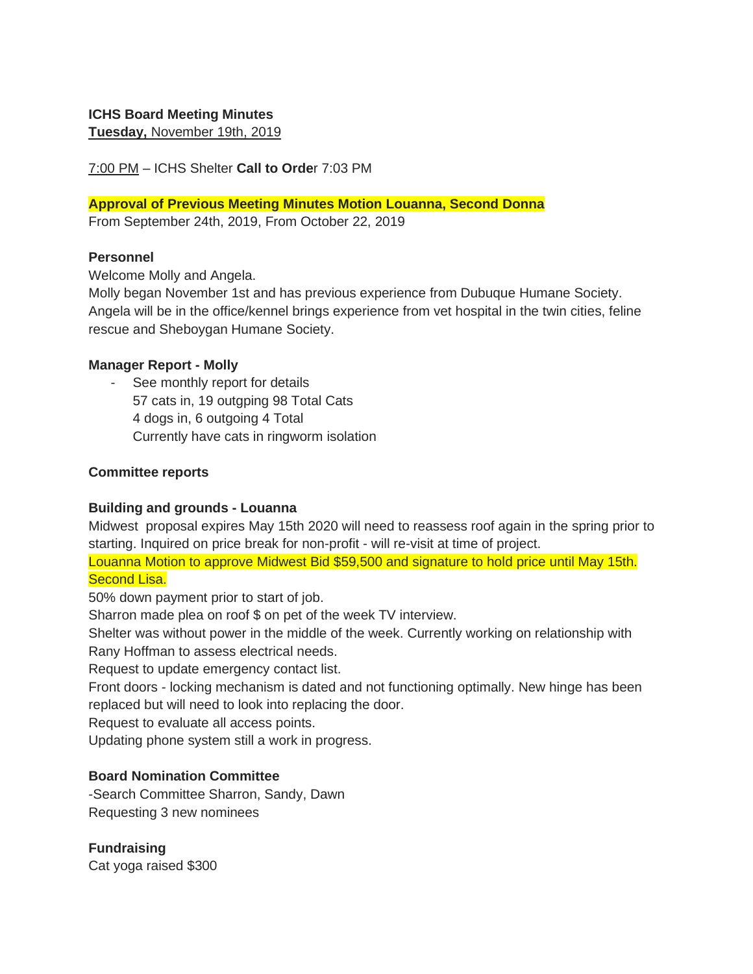## **ICHS Board Meeting Minutes**

**Tuesday,** November 19th, 2019

7:00 PM – ICHS Shelter **Call to Orde**r 7:03 PM

**Approval of Previous Meeting Minutes Motion Louanna, Second Donna**

From September 24th, 2019, From October 22, 2019

#### **Personnel**

Welcome Molly and Angela.

Molly began November 1st and has previous experience from Dubuque Humane Society. Angela will be in the office/kennel brings experience from vet hospital in the twin cities, feline rescue and Sheboygan Humane Society.

#### **Manager Report - Molly**

- See monthly report for details 57 cats in, 19 outgping 98 Total Cats 4 dogs in, 6 outgoing 4 Total Currently have cats in ringworm isolation

#### **Committee reports**

#### **Building and grounds - Louanna**

Midwest proposal expires May 15th 2020 will need to reassess roof again in the spring prior to starting. Inquired on price break for non-profit - will re-visit at time of project.

Louanna Motion to approve Midwest Bid \$59,500 and signature to hold price until May 15th. Second Lisa.

50% down payment prior to start of job.

Sharron made plea on roof \$ on pet of the week TV interview.

Shelter was without power in the middle of the week. Currently working on relationship with Rany Hoffman to assess electrical needs.

Request to update emergency contact list.

Front doors - locking mechanism is dated and not functioning optimally. New hinge has been replaced but will need to look into replacing the door.

Request to evaluate all access points.

Updating phone system still a work in progress.

#### **Board Nomination Committee**

-Search Committee Sharron, Sandy, Dawn Requesting 3 new nominees

#### **Fundraising**

Cat yoga raised \$300